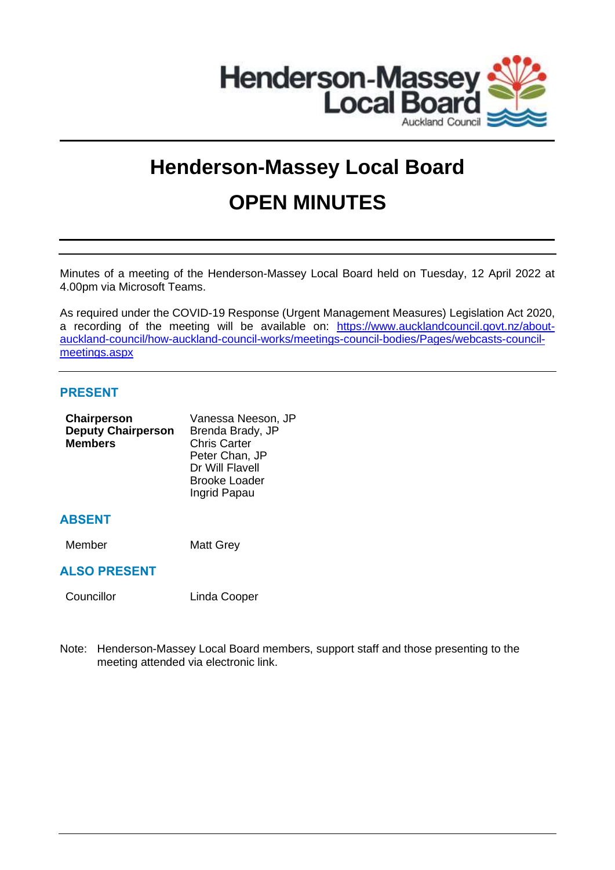

# **Henderson-Massey Local Board OPEN MINUTES**

Minutes of a meeting of the Henderson-Massey Local Board held on Tuesday, 12 April 2022 at 4.00pm via Microsoft Teams.

As required under the COVID-19 Response (Urgent Management Measures) Legislation Act 2020, a recording of the meeting will be available on: [https://www.aucklandcouncil.govt.nz/about](https://www.aucklandcouncil.govt.nz/about-auckland-council/how-auckland-council-works/meetings-council-bodies/Pages/webcasts-council-meetings.aspx)[auckland-council/how-auckland-council-works/meetings-council-bodies/Pages/webcasts-council](https://www.aucklandcouncil.govt.nz/about-auckland-council/how-auckland-council-works/meetings-council-bodies/Pages/webcasts-council-meetings.aspx)[meetings.aspx](https://www.aucklandcouncil.govt.nz/about-auckland-council/how-auckland-council-works/meetings-council-bodies/Pages/webcasts-council-meetings.aspx)

# **PRESENT**

| Chairperson               | Vanessa Neeson, JP   |  |
|---------------------------|----------------------|--|
| <b>Deputy Chairperson</b> | Brenda Brady, JP     |  |
| <b>Members</b>            | <b>Chris Carter</b>  |  |
|                           | Peter Chan, JP       |  |
|                           | Dr Will Flavell      |  |
|                           | <b>Brooke Loader</b> |  |
|                           | Ingrid Papau         |  |
|                           |                      |  |

# **ABSENT**

Member Matt Grey

# **ALSO PRESENT**

Councillor Linda Cooper

Note: Henderson-Massey Local Board members, support staff and those presenting to the meeting attended via electronic link.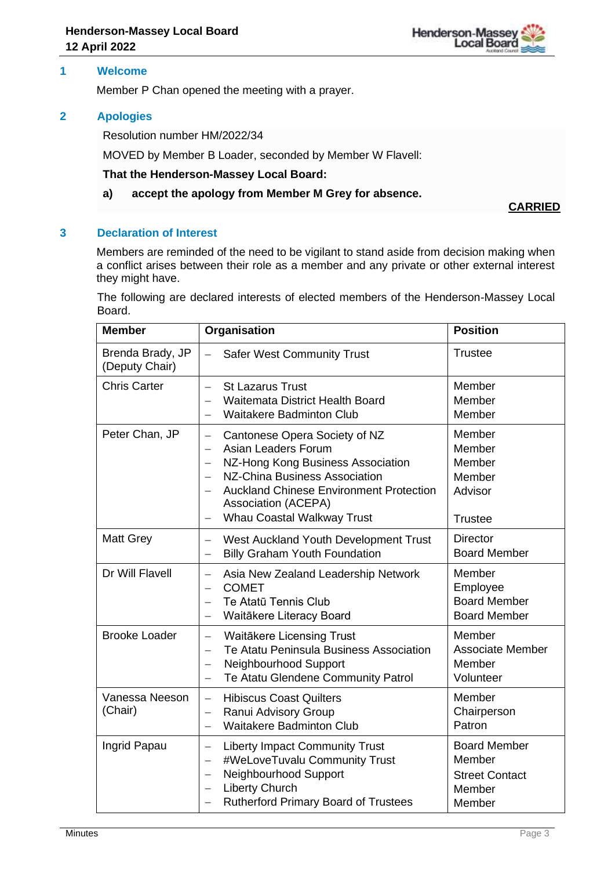

# **1 Welcome**

Member P Chan opened the meeting with a prayer.

# **2 Apologies**

Resolution number HM/2022/34

MOVED by Member B Loader, seconded by Member W Flavell:

#### **That the Henderson-Massey Local Board:**

## **a) accept the apology from Member M Grey for absence.**

**CARRIED**

# **3 Declaration of Interest**

Members are reminded of the need to be vigilant to stand aside from decision making when a conflict arises between their role as a member and any private or other external interest they might have.

The following are declared interests of elected members of the Henderson-Massey Local Board.

| <b>Member</b>                      | Organisation                                                                                                                                                                                                                                                                                                                                             | <b>Position</b>                                                            |
|------------------------------------|----------------------------------------------------------------------------------------------------------------------------------------------------------------------------------------------------------------------------------------------------------------------------------------------------------------------------------------------------------|----------------------------------------------------------------------------|
| Brenda Brady, JP<br>(Deputy Chair) | <b>Safer West Community Trust</b><br>$\overline{\phantom{0}}$                                                                                                                                                                                                                                                                                            | <b>Trustee</b>                                                             |
| <b>Chris Carter</b>                | <b>St Lazarus Trust</b><br>$\qquad \qquad =$<br>Waitemata District Health Board<br><b>Waitakere Badminton Club</b>                                                                                                                                                                                                                                       | Member<br>Member<br>Member                                                 |
| Peter Chan, JP                     | Cantonese Opera Society of NZ<br>$\overline{\phantom{0}}$<br>Asian Leaders Forum<br>$\overline{\phantom{0}}$<br>NZ-Hong Kong Business Association<br>$\overline{\phantom{0}}$<br>NZ-China Business Association<br>$\overline{\phantom{0}}$<br><b>Auckland Chinese Environment Protection</b><br><b>Association (ACEPA)</b><br>Whau Coastal Walkway Trust | Member<br>Member<br>Member<br>Member<br>Advisor<br><b>Trustee</b>          |
| <b>Matt Grey</b>                   | West Auckland Youth Development Trust<br>$\overline{\phantom{0}}$<br><b>Billy Graham Youth Foundation</b><br>$\overline{\phantom{0}}$                                                                                                                                                                                                                    | <b>Director</b><br><b>Board Member</b>                                     |
| Dr Will Flavell                    | Asia New Zealand Leadership Network<br>$\overline{\phantom{0}}$<br><b>COMET</b><br>$\equiv$<br>Te Atatū Tennis Club<br>$\qquad \qquad =$<br>Waitākere Literacy Board<br>$\equiv$                                                                                                                                                                         | Member<br>Employee<br><b>Board Member</b><br><b>Board Member</b>           |
| <b>Brooke Loader</b>               | Waitākere Licensing Trust<br>$\frac{1}{2}$<br>Te Atatu Peninsula Business Association<br>$\overline{\phantom{0}}$<br>Neighbourhood Support<br>$\overline{\phantom{0}}$<br>Te Atatu Glendene Community Patrol<br>$\overline{\phantom{0}}$                                                                                                                 | Member<br><b>Associate Member</b><br>Member<br>Volunteer                   |
| Vanessa Neeson<br>(Chair)          | <b>Hibiscus Coast Quilters</b><br>$\overline{\phantom{0}}$<br>Ranui Advisory Group<br>$\overline{\phantom{0}}$<br><b>Waitakere Badminton Club</b><br>$\equiv$                                                                                                                                                                                            | Member<br>Chairperson<br>Patron                                            |
| Ingrid Papau                       | <b>Liberty Impact Community Trust</b><br>$\overline{\phantom{0}}$<br>#WeLoveTuvalu Community Trust<br>Neighbourhood Support<br><b>Liberty Church</b><br>$\overline{\phantom{0}}$<br><b>Rutherford Primary Board of Trustees</b><br>$\qquad \qquad -$                                                                                                     | <b>Board Member</b><br>Member<br><b>Street Contact</b><br>Member<br>Member |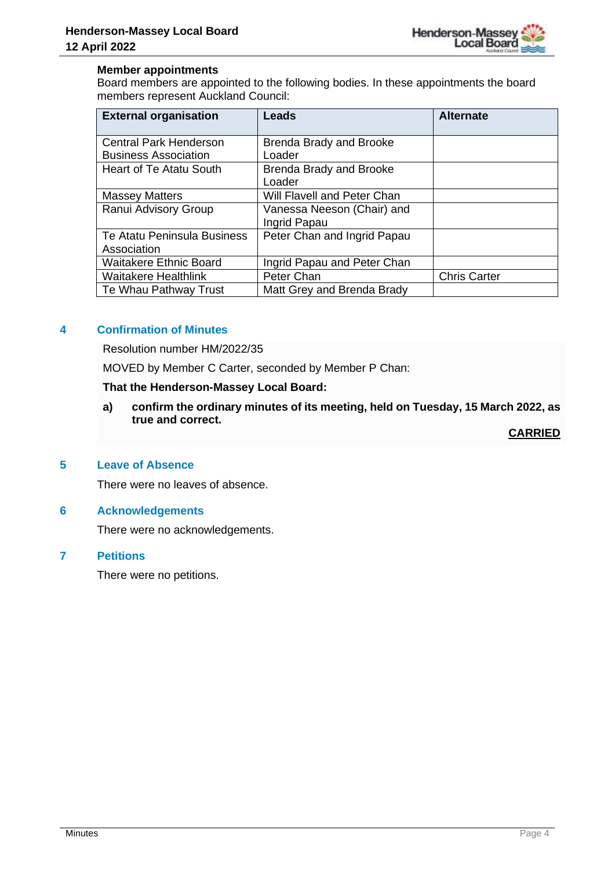

# **Member appointments**

Board members are appointed to the following bodies. In these appointments the board members represent Auckland Council:

| <b>External organisation</b>   | Leads                          | <b>Alternate</b>    |
|--------------------------------|--------------------------------|---------------------|
| <b>Central Park Henderson</b>  | Brenda Brady and Brooke        |                     |
| <b>Business Association</b>    | Loader                         |                     |
| <b>Heart of Te Atatu South</b> | <b>Brenda Brady and Brooke</b> |                     |
|                                | Loader                         |                     |
| <b>Massey Matters</b>          | Will Flavell and Peter Chan    |                     |
| Ranui Advisory Group           | Vanessa Neeson (Chair) and     |                     |
|                                | Ingrid Papau                   |                     |
| Te Atatu Peninsula Business    | Peter Chan and Ingrid Papau    |                     |
| Association                    |                                |                     |
| <b>Waitakere Ethnic Board</b>  | Ingrid Papau and Peter Chan    |                     |
| <b>Waitakere Healthlink</b>    | Peter Chan                     | <b>Chris Carter</b> |
| Te Whau Pathway Trust          | Matt Grey and Brenda Brady     |                     |

# **4 Confirmation of Minutes**

Resolution number HM/2022/35

MOVED by Member C Carter, seconded by Member P Chan:

#### **That the Henderson-Massey Local Board:**

**a) confirm the ordinary minutes of its meeting, held on Tuesday, 15 March 2022, as true and correct.**

**CARRIED**

# **5 Leave of Absence**

There were no leaves of absence.

# **6 Acknowledgements**

There were no acknowledgements.

# **7 Petitions**

There were no petitions.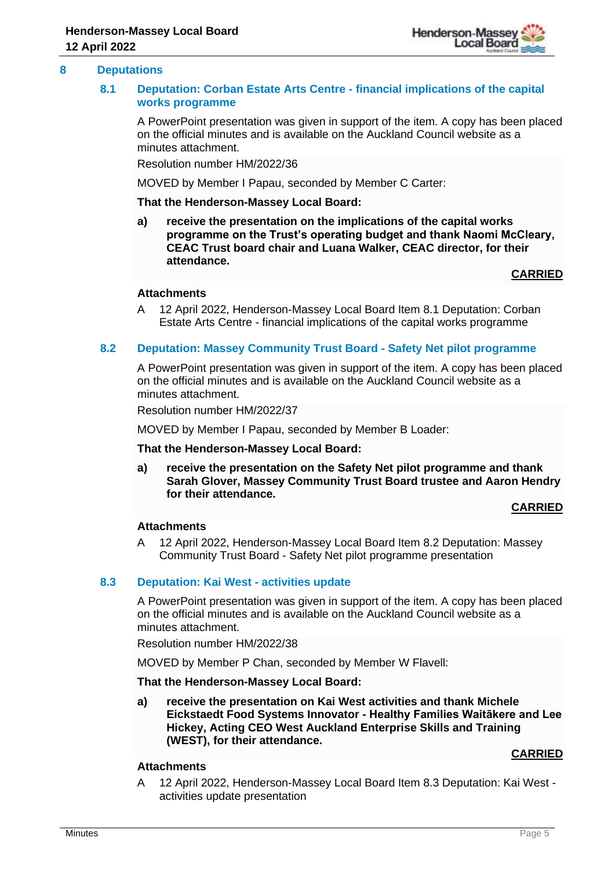

# **8 Deputations**

# **8.1 Deputation: Corban Estate Arts Centre - financial implications of the capital works programme**

A PowerPoint presentation was given in support of the item. A copy has been placed on the official minutes and is available on the Auckland Council website as a minutes attachment.

Resolution number HM/2022/36

MOVED by Member I Papau, seconded by Member C Carter:

#### **That the Henderson-Massey Local Board:**

**a) receive the presentation on the implications of the capital works programme on the Trust's operating budget and thank Naomi McCleary, CEAC Trust board chair and Luana Walker, CEAC director, for their attendance.**

**CARRIED**

#### **Attachments**

A 12 April 2022, Henderson-Massey Local Board Item 8.1 Deputation: Corban Estate Arts Centre - financial implications of the capital works programme

# **8.2 Deputation: Massey Community Trust Board - Safety Net pilot programme**

A PowerPoint presentation was given in support of the item. A copy has been placed on the official minutes and is available on the Auckland Council website as a minutes attachment.

Resolution number HM/2022/37

MOVED by Member I Papau, seconded by Member B Loader:

#### **That the Henderson-Massey Local Board:**

**a) receive the presentation on the Safety Net pilot programme and thank Sarah Glover, Massey Community Trust Board trustee and Aaron Hendry for their attendance.**

#### **CARRIED**

# **Attachments**

A 12 April 2022, Henderson-Massey Local Board Item 8.2 Deputation: Massey Community Trust Board - Safety Net pilot programme presentation

#### **8.3 Deputation: Kai West - activities update**

A PowerPoint presentation was given in support of the item. A copy has been placed on the official minutes and is available on the Auckland Council website as a minutes attachment.

Resolution number HM/2022/38

MOVED by Member P Chan, seconded by Member W Flavell:

**That the Henderson-Massey Local Board:**

**a) receive the presentation on Kai West activities and thank Michele Eickstaedt Food Systems Innovator - Healthy Families Waitākere and Lee Hickey, Acting CEO West Auckland Enterprise Skills and Training (WEST), for their attendance.**

#### **CARRIED**

# **Attachments**

A 12 April 2022, Henderson-Massey Local Board Item 8.3 Deputation: Kai West activities update presentation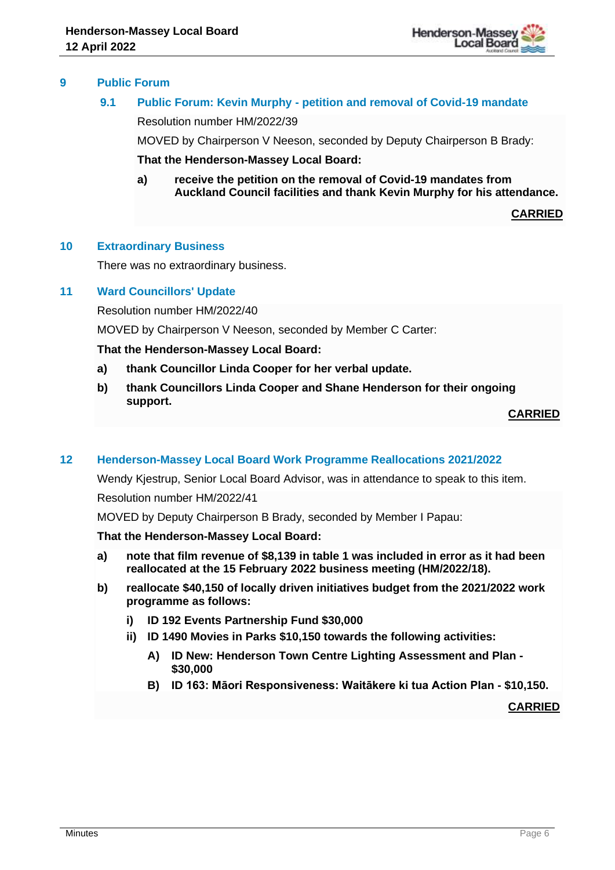

# **9 Public Forum**

# **9.1 Public Forum: Kevin Murphy - petition and removal of Covid-19 mandate**

Resolution number HM/2022/39

MOVED by Chairperson V Neeson, seconded by Deputy Chairperson B Brady:

**That the Henderson-Massey Local Board:**

**a) receive the petition on the removal of Covid-19 mandates from Auckland Council facilities and thank Kevin Murphy for his attendance.**

**CARRIED**

# **10 Extraordinary Business**

There was no extraordinary business.

# **11 Ward Councillors' Update**

Resolution number HM/2022/40

MOVED by Chairperson V Neeson, seconded by Member C Carter:

# **That the Henderson-Massey Local Board:**

- **a) thank Councillor Linda Cooper for her verbal update.**
- **b) thank Councillors Linda Cooper and Shane Henderson for their ongoing support.**

**CARRIED**

#### **12 Henderson-Massey Local Board Work Programme Reallocations 2021/2022**

Wendy Kjestrup, Senior Local Board Advisor, was in attendance to speak to this item. Resolution number HM/2022/41

MOVED by Deputy Chairperson B Brady, seconded by Member I Papau:

#### **That the Henderson-Massey Local Board:**

- **a) note that film revenue of \$8,139 in table 1 was included in error as it had been reallocated at the 15 February 2022 business meeting (HM/2022/18).**
- **b) reallocate \$40,150 of locally driven initiatives budget from the 2021/2022 work programme as follows:**
	- **i) ID 192 Events Partnership Fund \$30,000**
	- **ii) ID 1490 Movies in Parks \$10,150 towards the following activities:**
		- **A) ID New: Henderson Town Centre Lighting Assessment and Plan - \$30,000**
		- **B) ID 163: Māori Responsiveness: Waitākere ki tua Action Plan - \$10,150.**

**CARRIED**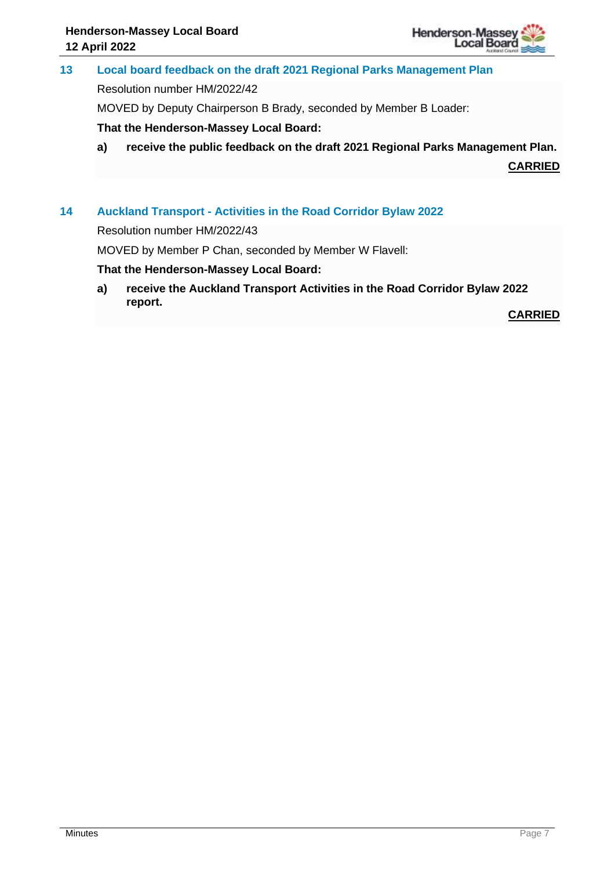

**13 Local board feedback on the draft 2021 Regional Parks Management Plan**

Resolution number HM/2022/42

MOVED by Deputy Chairperson B Brady, seconded by Member B Loader:

**That the Henderson-Massey Local Board:**

**a) receive the public feedback on the draft 2021 Regional Parks Management Plan.**

**CARRIED**

# **14 Auckland Transport - Activities in the Road Corridor Bylaw 2022**

Resolution number HM/2022/43

MOVED by Member P Chan, seconded by Member W Flavell:

# **That the Henderson-Massey Local Board:**

**a) receive the Auckland Transport Activities in the Road Corridor Bylaw 2022 report.** 

**CARRIED**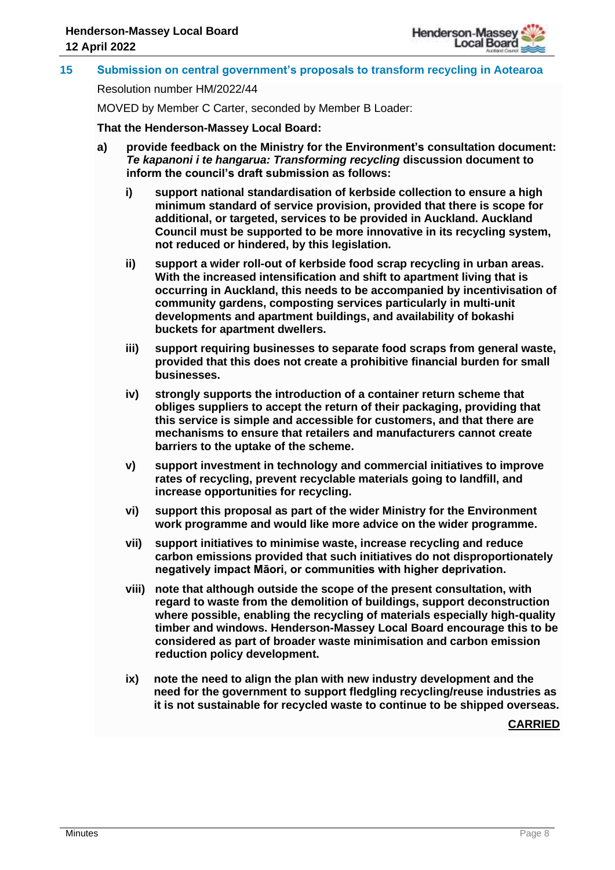

# **15 Submission on central government's proposals to transform recycling in Aotearoa**

Resolution number HM/2022/44

MOVED by Member C Carter, seconded by Member B Loader:

**That the Henderson-Massey Local Board:**

- **a) provide feedback on the Ministry for the Environment's consultation document:**  *Te kapanoni i te hangarua: Transforming recycling* **discussion document to inform the council's draft submission as follows:**
	- **i) support national standardisation of kerbside collection to ensure a high minimum standard of service provision, provided that there is scope for additional, or targeted, services to be provided in Auckland. Auckland Council must be supported to be more innovative in its recycling system, not reduced or hindered, by this legislation.**
	- **ii) support a wider roll-out of kerbside food scrap recycling in urban areas. With the increased intensification and shift to apartment living that is occurring in Auckland, this needs to be accompanied by incentivisation of community gardens, composting services particularly in multi-unit developments and apartment buildings, and availability of bokashi buckets for apartment dwellers.**
	- **iii) support requiring businesses to separate food scraps from general waste, provided that this does not create a prohibitive financial burden for small businesses.**
	- **iv) strongly supports the introduction of a container return scheme that obliges suppliers to accept the return of their packaging, providing that this service is simple and accessible for customers, and that there are mechanisms to ensure that retailers and manufacturers cannot create barriers to the uptake of the scheme.**
	- **v) support investment in technology and commercial initiatives to improve rates of recycling, prevent recyclable materials going to landfill, and increase opportunities for recycling.**
	- **vi) support this proposal as part of the wider Ministry for the Environment work programme and would like more advice on the wider programme.**
	- **vii) support initiatives to minimise waste, increase recycling and reduce carbon emissions provided that such initiatives do not disproportionately negatively impact Māori, or communities with higher deprivation.**
	- **viii) note that although outside the scope of the present consultation, with regard to waste from the demolition of buildings, support deconstruction where possible, enabling the recycling of materials especially high-quality timber and windows. Henderson-Massey Local Board encourage this to be considered as part of broader waste minimisation and carbon emission reduction policy development.**
	- **ix) note the need to align the plan with new industry development and the need for the government to support fledgling recycling/reuse industries as it is not sustainable for recycled waste to continue to be shipped overseas.**

**CARRIED**